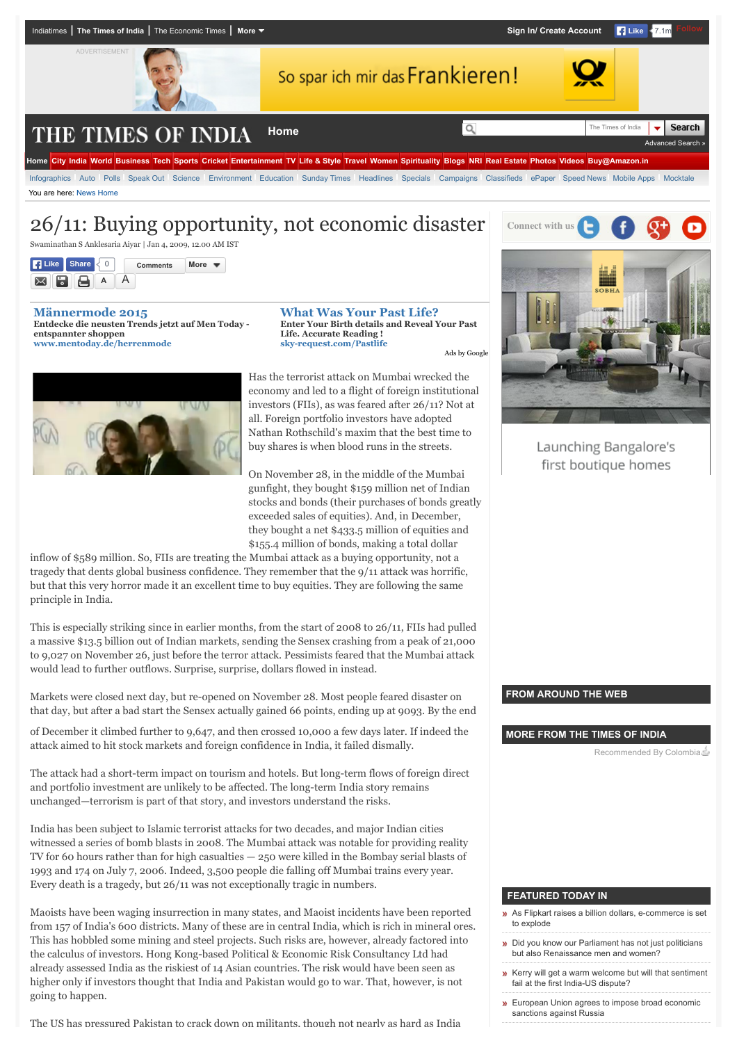

You are here: [News Home](http://timesofindia.indiatimes.com/)

# 26/11: Buying opportunity, not economic disaster

Swaminathan S Anklesaria Aiyar | Jan 4, 2009, 12.00 AM IST

**R** Like Share 0 **[Comments](http://timesofindia.indiatimes.com/sa-aiyar/swaminomics/26/11-Buying-opportunity-not-economic-disaster/articleshow/3932144.cms#write) [More](javascript:void(0))**  $\boxtimes$ RI. e. **<sup>A</sup>** A

**[Männermode 2015](http://www.googleadservices.com/pagead/aclk?sa=L&ai=CJ6uNywbFVYiNH8yc7QaujofYA6H-q44F0c7mnY4C2cz93wUQASCo8KYGKAJglbqugrQHoAGXxqvTA8gBAakCL_R78JBhsj6oAwGqBNcBT9DLDCQahj0NNjz_TVAHR41P6xP5vdU8Mikj1jtaSWnlt86zw64eKZMyH_j0WCbOijrej0_-2Xa4TW54LIVCanSzjKUNRlu-3LiQI3ODV_WtNrb0m2PzfjJ40Nu-bcaxckbXQap5-uW0jHlOlZvycA3H5scgnyp84yZbPHrCZXwEBH-7JupVcZ6VuT6m_JdGgbkXXPeoglBwyGS9IBRKjevtkW1jho-GGo8EesKs1sfHgnhNLqJ9M9H4p0Lw1de1_ezBlz0DEDdBKRQgYJ3kS31vVdr_pFiIBgGAB9G51CyoB6a-G9gHAQ&num=2&cid=5GjbHc6akuAjxXapjd_FA7wG&sig=AOD64_3vbpfv_eb60XnjN_2YqzPz5qb1tw&client=ca-timesofindia_site_js&adurl=http://www.mentoday.de/c/herrenbekleidung/1/) Entdecke die neusten Trends jetzt auf Men Today entspannter shoppen [www.mentoday.de/herrenmode](http://www.googleadservices.com/pagead/aclk?sa=L&ai=CJ6uNywbFVYiNH8yc7QaujofYA6H-q44F0c7mnY4C2cz93wUQASCo8KYGKAJglbqugrQHoAGXxqvTA8gBAakCL_R78JBhsj6oAwGqBNcBT9DLDCQahj0NNjz_TVAHR41P6xP5vdU8Mikj1jtaSWnlt86zw64eKZMyH_j0WCbOijrej0_-2Xa4TW54LIVCanSzjKUNRlu-3LiQI3ODV_WtNrb0m2PzfjJ40Nu-bcaxckbXQap5-uW0jHlOlZvycA3H5scgnyp84yZbPHrCZXwEBH-7JupVcZ6VuT6m_JdGgbkXXPeoglBwyGS9IBRKjevtkW1jho-GGo8EesKs1sfHgnhNLqJ9M9H4p0Lw1de1_ezBlz0DEDdBKRQgYJ3kS31vVdr_pFiIBgGAB9G51CyoB6a-G9gHAQ&num=2&cid=5GjbHc6akuAjxXapjd_FA7wG&sig=AOD64_3vbpfv_eb60XnjN_2YqzPz5qb1tw&client=ca-timesofindia_site_js&adurl=http://www.mentoday.de/c/herrenbekleidung/1/)**

**[What Was Your Past Life?](http://www.googleadservices.com/pagead/aclk?sa=L&ai=Cwq-BywbFVYiNH8yc7QaujofYA43a7MIG7Y7d9vkBwI23ARACIKjwpgYoAmCVuq6CtAegAcPk6s8DyAEBqQIv9HvwkGGyPqgDAaoE1AFP0OtZJxqFPQ02PP9NUAdHjU_rE_m91TwyKSPWO1pJaeW3zrPDrh4pkzIf-PRYJs6KOt6PT_7ZdrhNbngshUJqdLOMpQ1GW77cuJAjc4NX9a02tvSbY_N-MnjQ275txrFyRtdBqnn65bSMeU6Vm_JwDcfmxyCfKnzjJls8esJlfAQEf7sm6lVxnpW5Pqb8l0aBuRdc96iCUHDIZL0gFEr16O2ZbcKdQSweM5C1KXRoLiwYek0usWAzwQ2kRgXW40T-3TCUPDYTH3QqPNVlnQRL4DCnW4gGAYAHpZuVMKgHpr4b2AcB&num=1&cid=5GjbHc6akuAjxXapjd_FA7wG&sig=AOD64_0NcUzPrCvSpKxb2YQH_uhCJ3NN7Q&client=ca-timesofindia_site_js&adurl=https://sky-request.com/FreeReading.html%3Fpk_campaign%3Dplacements_m%26pk_kwd%3Dcrystal) Enter Your Birth details and Reveal Your Past Life. Accurate Reading ! [sky-request.com/Pastlife](http://www.googleadservices.com/pagead/aclk?sa=L&ai=Cwq-BywbFVYiNH8yc7QaujofYA43a7MIG7Y7d9vkBwI23ARACIKjwpgYoAmCVuq6CtAegAcPk6s8DyAEBqQIv9HvwkGGyPqgDAaoE1AFP0OtZJxqFPQ02PP9NUAdHjU_rE_m91TwyKSPWO1pJaeW3zrPDrh4pkzIf-PRYJs6KOt6PT_7ZdrhNbngshUJqdLOMpQ1GW77cuJAjc4NX9a02tvSbY_N-MnjQ275txrFyRtdBqnn65bSMeU6Vm_JwDcfmxyCfKnzjJls8esJlfAQEf7sm6lVxnpW5Pqb8l0aBuRdc96iCUHDIZL0gFEr16O2ZbcKdQSweM5C1KXRoLiwYek0usWAzwQ2kRgXW40T-3TCUPDYTH3QqPNVlnQRL4DCnW4gGAYAHpZuVMKgHpr4b2AcB&num=1&cid=5GjbHc6akuAjxXapjd_FA7wG&sig=AOD64_0NcUzPrCvSpKxb2YQH_uhCJ3NN7Q&client=ca-timesofindia_site_js&adurl=https://sky-request.com/FreeReading.html%3Fpk_campaign%3Dplacements_m%26pk_kwd%3Dcrystal)** [Ads by Google](https://www.google.com/url?ct=abg&q=https://www.google.com/adsense/support/bin/request.py%3Fcontact%3Dabg_afc%26url%3Dhttp://timesofindia.indiatimes.com/india/Gafoor-failed-to-lead-Mumbai-cops-during-26/11-Panel/articleshow/4656637.cms%26gl%3DDE%26hl%3Den%26client%3Dca-timesofindia_site_js%26hideleadgen%3D1%26ai0%3DCJ6uNywbFVYiNH8yc7QaujofYA6H-q44F0c7mnY4C2cz93wUQASCo8KYGKAJglbqugrQHoAGXxqvTA8gBAakCL_R78JBhsj6oAwGqBNcBT9DLDCQahj0NNjz_TVAHR41P6xP5vdU8Mikj1jtaSWnlt86zw64eKZMyH_j0WCbOijrej0_-2Xa4TW54LIVCanSzjKUNRlu-3LiQI3ODV_WtNrb0m2PzfjJ40Nu-bcaxckbXQap5-uW0jHlOlZvycA3H5scgnyp84yZbPHrCZXwEBH-7JupVcZ6VuT6m_JdGgbkXXPeoglBwyGS9IBRKjevtkW1jho-GGo8EesKs1sfHgnhNLqJ9M9H4p0Lw1de1_ezBlz0DEDdBKRQgYJ3kS31vVdr_pFiIBgGAB9G51CyoB6a-G9gHAQ%26ai1%3DCwq-BywbFVYiNH8yc7QaujofYA43a7MIG7Y7d9vkBwI23ARACIKjwpgYoAmCVuq6CtAegAcPk6s8DyAEBqQIv9HvwkGGyPqgDAaoE1AFP0OtZJxqFPQ02PP9NUAdHjU_rE_m91TwyKSPWO1pJaeW3zrPDrh4pkzIf-PRYJs6KOt6PT_7ZdrhNbngshUJqdLOMpQ1GW77cuJAjc4NX9a02tvSbY_N-MnjQ275txrFyRtdBqnn65bSMeU6Vm_JwDcfmxyCfKnzjJls8esJlfAQEf7sm6lVxnpW5Pqb8l0aBuRdc96iCUHDIZL0gFEr16O2ZbcKdQSweM5C1KXRoLiwYek0usWAzwQ2kRgXW40T-3TCUPDYTH3QqPNVlnQRL4DCnW4gGAYAHpZuVMKgHpr4b2AcB&usg=AFQjCNH6nYBiCqSLQ1cXwKZi7LEJycjYfw)

Has the terrorist attack on Mumbai wrecked the economy and led to a flight of foreign institutional investors (FIIs), as was feared after 26/11? Not at all. Foreign portfolio investors have adopted Nathan Rothschild's maxim that the best time to buy shares is when blood runs in the streets.

On November 28, in the middle of the Mumbai gunfight, they bought \$159 million net of Indian stocks and bonds (their purchases of bonds greatly exceeded sales of equities). And, in December, they bought a net \$433.5 million of equities and \$155.4 million of bonds, making a total dollar

inflow of \$589 million. So, FIIs are treating the Mumbai attack as a buying opportunity, not a tragedy that dents global business confidence. They remember that the 9/11 attack was horrific, but that this very horror made it an excellent time to buy equities. They are following the same principle in India.

This is especially striking since in earlier months, from the start of 2008 to 26/11, FIIs had pulled a massive \$13.5 billion out of Indian markets, sending the Sensex crashing from a peak of 21,000 to 9,027 on November 26, just before the terror attack. Pessimists feared that the Mumbai attack would lead to further outflows. Surprise, surprise, dollars flowed in instead.

Markets were closed next day, but re-opened on November 28. Most people feared disaster on that day, but after a bad start the Sensex actually gained 66 points, ending up at 9093. By the end

of December it climbed further to 9,647, and then crossed 10,000 a few days later. If indeed the attack aimed to hit stock markets and foreign confidence in India, it failed dismally.

The attack had a short-term impact on tourism and hotels. But long-term flows of foreign direct and portfolio investment are unlikely to be affected. The long-term India story remains unchanged—terrorism is part of that story, and investors understand the risks.

India has been subject to Islamic terrorist attacks for two decades, and major Indian cities witnessed a series of bomb blasts in 2008. The Mumbai attack was notable for providing reality TV for 60 hours rather than for high casualties — 250 were killed in the Bombay serial blasts of 1993 and 174 on July 7, 2006. Indeed, 3,500 people die falling off Mumbai trains every year. Every death is a tragedy, but 26/11 was not exceptionally tragic in numbers.

Maoists have been waging insurrection in many states, and Maoist incidents have been reported from 157 of India's 600 districts. Many of these are in central India, which is rich in mineral ores. This has hobbled some mining and steel projects. Such risks are, however, already factored into the calculus of investors. Hong Kong-based Political & Economic Risk Consultancy Ltd had already assessed India as the riskiest of 14 Asian countries. The risk would have been seen as higher only if investors thought that India and Pakistan would go to war. That, however, is not going to happen.

The US has pressured Pakistan to crack down on militants, though not nearly as hard as India



**Connect with us**

Launching Bangalore's first boutique homes

#### **FROM AROUND THE WEB**

#### **MORE FROM THE TIMES OF INDIA**

Recommended By Colombia

### **FEATURED TODAY IN**

- [As Flipkart raises a billion dollars, e-commerce is set](http://blogs.timesofindia.indiatimes.com/toi-editorials/as-flipkart-raises-a-billion-dollars-e-commerce-is-set-to-explode/) to explode
- **»** [Did you know our Parliament has not just politicians](http://blogs.timesofindia.indiatimes.com/toi-editorials/did-you-know-our-parliament-has-not-just-politicians-but-also-renaissance-men-and-women/) but also Renaissance men and women?
- **»** [Kerry will get a warm welcome but will that sentiment](http://blogs.timesofindia.indiatimes.com/Globespotting/kerry-will-get-a-warm-welcome-but-will-that-sentiment-fail-at-the-first-india-us-dispute/) fail at the first India-US dispute?
- **»** [European Union agrees to impose broad economic](http://blogs.timesofindia.indiatimes.com/toi-editorials/european-union-agrees-to-impose-broad-economic-sanctions-against-russia/) sanctions against Russia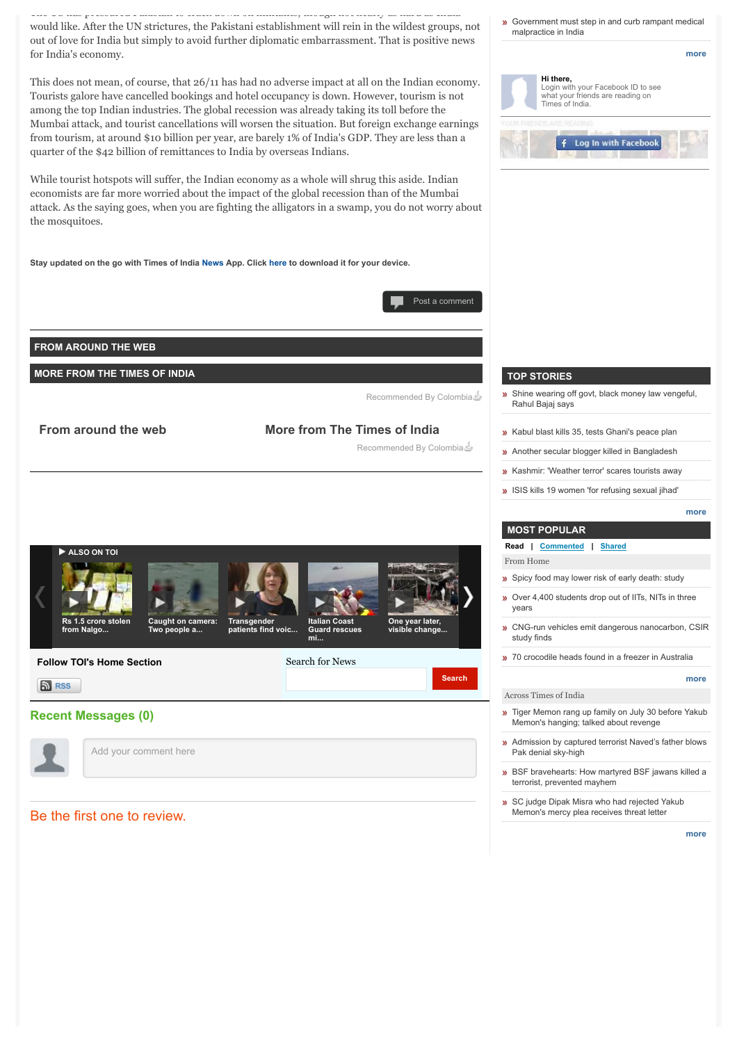The US has pressured Pakistan to crack down on militants, though not nearly as hard as India would like. After the UN strictures, the Pakistani establishment will rein in the wildest groups, not out of love for India but simply to avoid further diplomatic embarrassment. That is positive news for India's economy.

This does not mean, of course, that 26/11 has had no adverse impact at all on the Indian economy. Tourists galore have cancelled bookings and hotel occupancy is down. However, tourism is not among the top Indian industries. The global recession was already taking its toll before the Mumbai attack, and tourist cancellations will worsen the situation. But foreign exchange earnings from tourism, at around \$10 billion per year, are barely 1% of India's GDP. They are less than a quarter of the \$42 billion of remittances to India by overseas Indians.

While tourist hotspots will suffer, the Indian economy as a whole will shrug this aside. Indian economists are far more worried about the impact of the global recession than of the Mumbai attack. As the saying goes, when you are fighting the alligators in a swamp, you do not worry about the mosquitoes.

**Stay updated on the go with Times of India [News](https://play.google.com/store/apps/details?id=com.toi.reader.activities) App. Click [here](http://timesofindia.indiatimes.com/mobileapplist/7404562.cms?utm_source=articleshow_bottom&utm_medium=showpage&utm_campaign=articleshow) to download it for your device.**



**FROM AROUND THE WEB**

**MORE FROM THE TIMES OF INDIA**

Recommended By Colombia

## **From around the web More from The Times of India**

Recommended By Colombia



Be the first one to review.

**D** [Government must step in and curb rampant medical](http://blogs.timesofindia.indiatimes.com/toi-editorials/government-must-step-in-and-curb-rampant-medical-malpractice-in-india/) malpractice in India



## **TOP STORIES**

- [Shine wearing off govt, black money law vengeful,](http://timesofindia.indiatimes.com/india/Shine-wearing-off-govt-black-money-law-vengeful-Rahul-Bajaj-says/articleshow/48395739.cms) Rahul Bajaj says
- **»** [Kabul blast kills 35, tests Ghani's peace plan](http://timesofindia.indiatimes.com/world/rest-of-world/Kabul-blast-kills-35-test-Afghan-presidents-peace-plan/articleshow/48397416.cms)
- **»** [Another secular blogger killed in Bangladesh](http://timesofindia.indiatimes.com/world/south-asia/Another-secular-blogger-hacked-to-death-in-Bangladesh-fourth-this-year/articleshow/48394398.cms)
- **»** [Kashmir: 'Weather terror' scares tourists away](http://timesofindia.indiatimes.com/india/Weather-terror-scares-tourists-away-from-Kashmir/articleshow/48392219.cms)
- 
- **»** [ISIS kills 19 women 'for refusing sexual jihad'](http://timesofindia.indiatimes.com/world/middle-east/ISIS-executes-19-women-in-Mosul-for-refusing-to-take-part-in-sexual-jihad/articleshow/48391996.cms)

#### **[more](http://timesofindia.indiatimes.com/headlines/4772028.cms)**

#### **MOST POPULAR**

**Read | Commented | Shared**

- From Home
- **»** [Spicy food may lower risk of early death: study](http://timesofindia.indiatimes.com/home/science/Spicy-food-may-lower-risk-of-early-death-study/articleshow/48370466.cms)
- **»** [Over 4,400 students drop out of IITs, NITs in three](http://timesofindia.indiatimes.com/home/education/news/Over-4400-students-drop-out-of-IITs-NITs-in-three-years/articleshow/48363161.cms) years
- **»** [CNG-run vehicles emit dangerous nanocarbon, CSIR](http://timesofindia.indiatimes.com/home/environment/pollution/CNG-run-vehicles-emit-dangerous-nanocarbon-CSIR-study-finds/articleshow/48377499.cms) study finds
- **»** [70 crocodile heads found in a freezer in Australia](http://timesofindia.indiatimes.com/home/environment/wild-wacky/70-crocodile-heads-found-in-a-freezer-in-Australia/articleshow/48339717.cms)

#### **[more](http://timesofindia.indiatimes.com/mostread/msid-4719157.cms)**

#### Across Times of India

- [Tiger Memon rang up family on July 30 before Yakub](http://timesofindia.indiatimes.com/india/Tiger-Memon-rang-up-family-on-July-30-before-Yakub-Memons-hanging-talked-about-revenge/articleshow/48386826.cms) Memon's hanging; talked about revenge
- **[Admission by captured terrorist Naved's father blows](http://timesofindia.indiatimes.com/india/Admission-by-captured-terrorist-Naveds-father-blows-Pak-denial-sky-high/articleshow/48383853.cms)** Pak denial sky-high
- **»** [BSF bravehearts: How martyred BSF jawans killed a](http://timesofindia.indiatimes.com/india/BSF-bravehearts-How-martyred-BSF-jawans-killed-a-terrorist-prevented-mayhem/articleshow/48371781.cms) terrorist, prevented mayhem
- [SC judge Dipak Misra who had rejected Yakub](http://timesofindia.indiatimes.com/india/SC-judge-Dipak-Misra-who-had-rejected-Yakub-Memons-mercy-plea-receives-threat-letter/articleshow/48385428.cms) Memon's mercy plea receives threat letter

**[more](http://timesofindia.indiatimes.com/mostread.cms)**